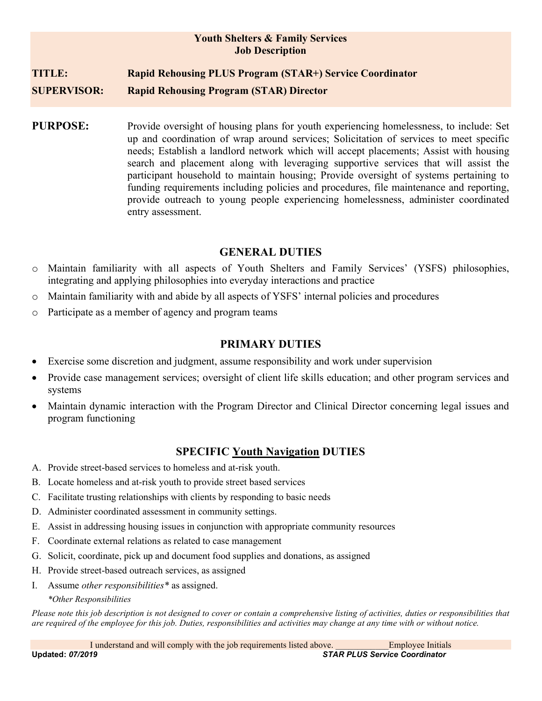### Youth Shelters & Family Services Job Description

# TITLE: Rapid Rehousing PLUS Program (STAR+) Service Coordinator

SUPERVISOR: Rapid Rehousing Program (STAR) Director

PURPOSE: Provide oversight of housing plans for youth experiencing homelessness, to include: Set up and coordination of wrap around services; Solicitation of services to meet specific needs; Establish a landlord network which will accept placements; Assist with housing search and placement along with leveraging supportive services that will assist the participant household to maintain housing; Provide oversight of systems pertaining to funding requirements including policies and procedures, file maintenance and reporting, provide outreach to young people experiencing homelessness, administer coordinated entry assessment.

### GENERAL DUTIES

- o Maintain familiarity with all aspects of Youth Shelters and Family Services' (YSFS) philosophies, integrating and applying philosophies into everyday interactions and practice
- o Maintain familiarity with and abide by all aspects of YSFS' internal policies and procedures
- o Participate as a member of agency and program teams

# PRIMARY DUTIES

- Exercise some discretion and judgment, assume responsibility and work under supervision
- Provide case management services; oversight of client life skills education; and other program services and systems
- Maintain dynamic interaction with the Program Director and Clinical Director concerning legal issues and program functioning

# SPECIFIC Youth Navigation DUTIES

- A. Provide street-based services to homeless and at-risk youth.
- B. Locate homeless and at-risk youth to provide street based services
- C. Facilitate trusting relationships with clients by responding to basic needs
- D. Administer coordinated assessment in community settings.
- E. Assist in addressing housing issues in conjunction with appropriate community resources
- F. Coordinate external relations as related to case management
- G. Solicit, coordinate, pick up and document food supplies and donations, as assigned
- H. Provide street-based outreach services, as assigned
- I. Assume other responsibilities\* as assigned.

#### \*Other Responsibilities

Please note this job description is not designed to cover or contain a comprehensive listing of activities, duties or responsibilities that are required of the employee for this job. Duties, responsibilities and activities may change at any time with or without notice.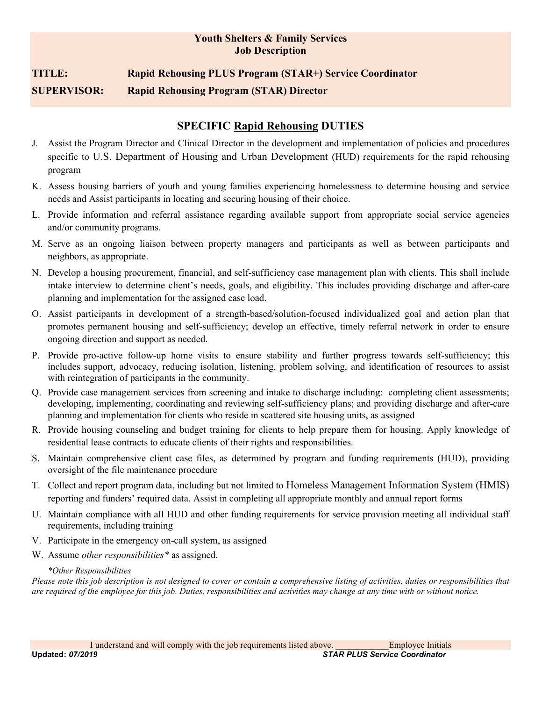### Youth Shelters & Family Services Job Description

# TITLE: Rapid Rehousing PLUS Program (STAR+) Service Coordinator SUPERVISOR: Rapid Rehousing Program (STAR) Director

# SPECIFIC Rapid Rehousing DUTIES

- J. Assist the Program Director and Clinical Director in the development and implementation of policies and procedures specific to U.S. Department of Housing and Urban Development (HUD) requirements for the rapid rehousing program
- K. Assess housing barriers of youth and young families experiencing homelessness to determine housing and service needs and Assist participants in locating and securing housing of their choice.
- L. Provide information and referral assistance regarding available support from appropriate social service agencies and/or community programs.
- M. Serve as an ongoing liaison between property managers and participants as well as between participants and neighbors, as appropriate.
- N. Develop a housing procurement, financial, and self-sufficiency case management plan with clients. This shall include intake interview to determine client's needs, goals, and eligibility. This includes providing discharge and after-care planning and implementation for the assigned case load.
- O. Assist participants in development of a strength-based/solution-focused individualized goal and action plan that promotes permanent housing and self-sufficiency; develop an effective, timely referral network in order to ensure ongoing direction and support as needed.
- P. Provide pro-active follow-up home visits to ensure stability and further progress towards self-sufficiency; this includes support, advocacy, reducing isolation, listening, problem solving, and identification of resources to assist with reintegration of participants in the community.
- Q. Provide case management services from screening and intake to discharge including: completing client assessments; developing, implementing, coordinating and reviewing self-sufficiency plans; and providing discharge and after-care planning and implementation for clients who reside in scattered site housing units, as assigned
- R. Provide housing counseling and budget training for clients to help prepare them for housing. Apply knowledge of residential lease contracts to educate clients of their rights and responsibilities.
- S. Maintain comprehensive client case files, as determined by program and funding requirements (HUD), providing oversight of the file maintenance procedure
- T. Collect and report program data, including but not limited to Homeless Management Information System (HMIS) reporting and funders' required data. Assist in completing all appropriate monthly and annual report forms
- U. Maintain compliance with all HUD and other funding requirements for service provision meeting all individual staff requirements, including training
- V. Participate in the emergency on-call system, as assigned
- W. Assume *other responsibilities*<sup>\*</sup> as assigned.

#### \*Other Responsibilities

Please note this job description is not designed to cover or contain a comprehensive listing of activities, duties or responsibilities that are required of the employee for this job. Duties, responsibilities and activities may change at any time with or without notice.